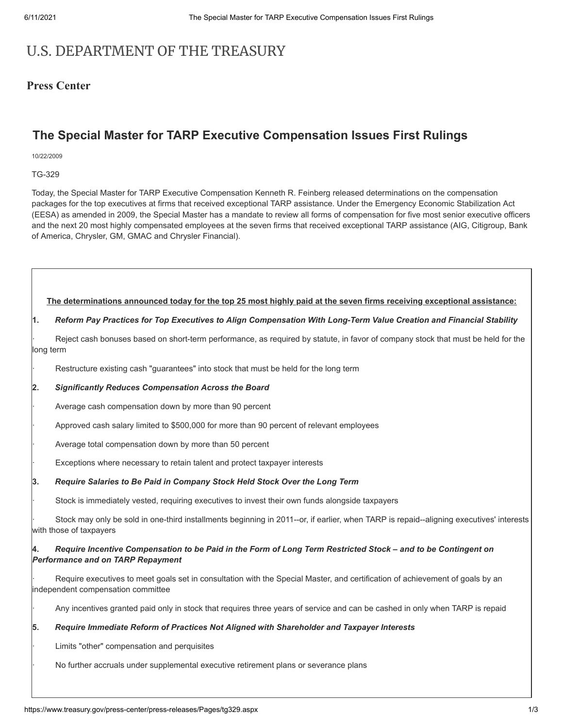# U.S. DEPARTMENT OF THE TREASURY

### **Press Center**

## **The Special Master for TARP Executive Compensation Issues First Rulings**

10/22/2009

TG-329

Today, the Special Master for TARP Executive Compensation Kenneth R. Feinberg released determinations on the compensation packages for the top executives at firms that received exceptional TARP assistance. Under the Emergency Economic Stabilization Act (EESA) as amended in 2009, the Special Master has a mandate to review all forms of compensation for five most senior executive officers and the next 20 most highly compensated employees at the seven firms that received exceptional TARP assistance (AIG, Citigroup, Bank of America, Chrysler, GM, GMAC and Chrysler Financial).

**The determinations announced today for the top 25 most highly paid at the seven firms receiving exceptional assistance:**

#### **1.** *Reform Pay Practices for Top Executives to Align Compensation With Long-Term Value Creation and Financial Stability*

Reject cash bonuses based on short-term performance, as required by statute, in favor of company stock that must be held for the long term

Restructure existing cash "guarantees" into stock that must be held for the long term

### **2.** *Significantly Reduces Compensation Across the Board*

Average cash compensation down by more than 90 percent

· Approved cash salary limited to \$500,000 for more than 90 percent of relevant employees

Average total compensation down by more than 50 percent

Exceptions where necessary to retain talent and protect taxpayer interests

#### **3.** *Require Salaries to Be Paid in Company Stock Held Stock Over the Long Term*

Stock is immediately vested, requiring executives to invest their own funds alongside taxpayers

Stock may only be sold in one-third installments beginning in 2011--or, if earlier, when TARP is repaid--aligning executives' interests with those of taxpayers

#### **4.** *Require Incentive Compensation to be Paid in the Form of Long Term Restricted Stock – and to be Contingent on Performance and on TARP Repayment*

Require executives to meet goals set in consultation with the Special Master, and certification of achievement of goals by an independent compensation committee

· Any incentives granted paid only in stock that requires three years of service and can be cashed in only when TARP is repaid

#### **5.** *Require Immediate Reform of Practices Not Aligned with Shareholder and Taxpayer Interests*

Limits "other" compensation and perquisites

· No further accruals under supplemental executive retirement plans or severance plans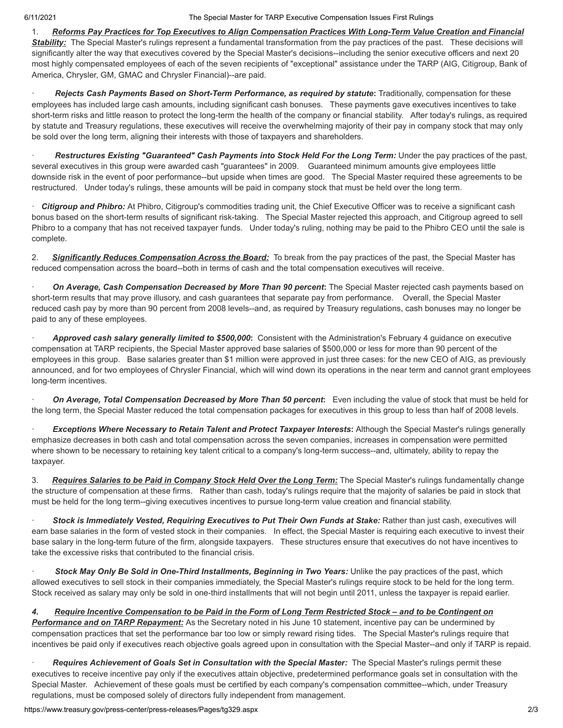#### 6/11/2021 The Special Master for TARP Executive Compensation Issues First Rulings

1. *Reforms Pay Practices for Top Executives to Align Compensation Practices With Long-Term Value Creation and Financial* **Stability:** The Special Master's rulings represent a fundamental transformation from the pay practices of the past. These decisions will significantly alter the way that executives covered by the Special Master's decisions--including the senior executive officers and next 20 most highly compensated employees of each of the seven recipients of "exceptional" assistance under the TARP (AIG, Citigroup, Bank of America, Chrysler, GM, GMAC and Chrysler Financial)--are paid.

· *Rejects Cash Payments Based on Short-Term Performance, as required by statute***:** Traditionally, compensation for these employees has included large cash amounts, including significant cash bonuses. These payments gave executives incentives to take short-term risks and little reason to protect the long-term the health of the company or financial stability. After today's rulings, as required by statute and Treasury regulations, these executives will receive the overwhelming majority of their pay in company stock that may only be sold over the long term, aligning their interests with those of taxpayers and shareholders.

· *Restructures Existing "Guaranteed" Cash Payments into Stock Held For the Long Term:* Under the pay practices of the past, several executives in this group were awarded cash "guarantees" in 2009. Guaranteed minimum amounts give employees little downside risk in the event of poor performance--but upside when times are good. The Special Master required these agreements to be restructured. Under today's rulings, these amounts will be paid in company stock that must be held over the long term.

· *Citigroup and Phibro:* At Phibro, Citigroup's commodities trading unit, the Chief Executive Officer was to receive a significant cash bonus based on the short-term results of significant risk-taking. The Special Master rejected this approach, and Citigroup agreed to sell Phibro to a company that has not received taxpayer funds. Under today's ruling, nothing may be paid to the Phibro CEO until the sale is complete.

2. *Significantly Reduces Compensation Across the Board:* To break from the pay practices of the past, the Special Master has reduced compensation across the board--both in terms of cash and the total compensation executives will receive.

· *On Average, Cash Compensation Decreased by More Than 90 percent***:** The Special Master rejected cash payments based on short-term results that may prove illusory, and cash guarantees that separate pay from performance. Overall, the Special Master reduced cash pay by more than 90 percent from 2008 levels--and, as required by Treasury regulations, cash bonuses may no longer be paid to any of these employees.

· *Approved cash salary generally limited to \$500,000***:** Consistent with the Administration's February 4 guidance on executive compensation at TARP recipients, the Special Master approved base salaries of \$500,000 or less for more than 90 percent of the employees in this group. Base salaries greater than \$1 million were approved in just three cases: for the new CEO of AIG, as previously announced, and for two employees of Chrysler Financial, which will wind down its operations in the near term and cannot grant employees long-term incentives.

· *On Average, Total Compensation Decreased by More Than 50 percent***:** Even including the value of stock that must be held for the long term, the Special Master reduced the total compensation packages for executives in this group to less than half of 2008 levels.

**Exceptions Where Necessary to Retain Talent and Protect Taxpayer Interests:** Although the Special Master's rulings generally emphasize decreases in both cash and total compensation across the seven companies, increases in compensation were permitted where shown to be necessary to retaining key talent critical to a company's long-term success--and, ultimately, ability to repay the taxpayer.

3. *Requires Salaries to be Paid in Company Stock Held Over the Long Term:* The Special Master's rulings fundamentally change the structure of compensation at these firms. Rather than cash, today's rulings require that the majority of salaries be paid in stock that must be held for the long term--giving executives incentives to pursue long-term value creation and financial stability.

Stock is Immediately Vested, Requiring Executives to Put Their Own Funds at Stake: Rather than just cash, executives will earn base salaries in the form of vested stock in their companies. In effect, the Special Master is requiring each executive to invest their base salary in the long-term future of the firm, alongside taxpayers. These structures ensure that executives do not have incentives to take the excessive risks that contributed to the financial crisis.

Stock May Only Be Sold in One-Third Installments, Beginning in Two Years: Unlike the pay practices of the past, which allowed executives to sell stock in their companies immediately, the Special Master's rulings require stock to be held for the long term. Stock received as salary may only be sold in one-third installments that will not begin until 2011, unless the taxpayer is repaid earlier.

*4. Require Incentive Compensation to be Paid in the Form of Long Term Restricted Stock – and to be Contingent on*

*Performance and on TARP Repayment:* As the Secretary noted in his June 10 statement, incentive pay can be undermined by compensation practices that set the performance bar too low or simply reward rising tides. The Special Master's rulings require that incentives be paid only if executives reach objective goals agreed upon in consultation with the Special Master--and only if TARP is repaid.

Requires Achievement of Goals Set in Consultation with the Special Master: The Special Master's rulings permit these executives to receive incentive pay only if the executives attain objective, predetermined performance goals set in consultation with the Special Master. Achievement of these goals must be certified by each company's compensation committee--which, under Treasury regulations, must be composed solely of directors fully independent from management.